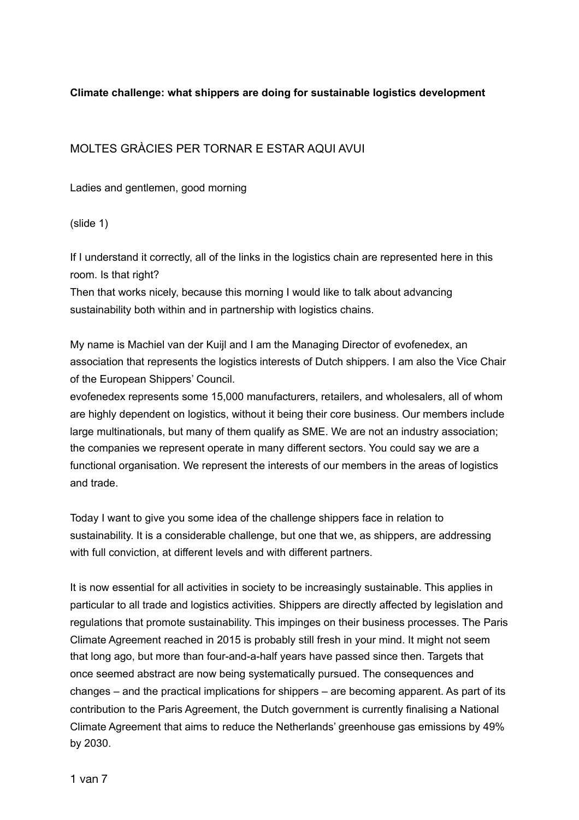## **Climate challenge: what shippers are doing for sustainable logistics development**

# MOLTES GRÀCIES PER TORNAR E ESTAR AQUI AVUI

Ladies and gentlemen, good morning

(slide 1)

If I understand it correctly, all of the links in the logistics chain are represented here in this room. Is that right?

Then that works nicely, because this morning I would like to talk about advancing sustainability both within and in partnership with logistics chains.

My name is Machiel van der Kuijl and I am the Managing Director of evofenedex, an association that represents the logistics interests of Dutch shippers. I am also the Vice Chair of the European Shippers' Council.

evofenedex represents some 15,000 manufacturers, retailers, and wholesalers, all of whom are highly dependent on logistics, without it being their core business. Our members include large multinationals, but many of them qualify as SME. We are not an industry association; the companies we represent operate in many different sectors. You could say we are a functional organisation. We represent the interests of our members in the areas of logistics and trade.

Today I want to give you some idea of the challenge shippers face in relation to sustainability. It is a considerable challenge, but one that we, as shippers, are addressing with full conviction, at different levels and with different partners.

It is now essential for all activities in society to be increasingly sustainable. This applies in particular to all trade and logistics activities. Shippers are directly affected by legislation and regulations that promote sustainability. This impinges on their business processes. The Paris Climate Agreement reached in 2015 is probably still fresh in your mind. It might not seem that long ago, but more than four-and-a-half years have passed since then. Targets that once seemed abstract are now being systematically pursued. The consequences and changes – and the practical implications for shippers – are becoming apparent. As part of its contribution to the Paris Agreement, the Dutch government is currently finalising a National Climate Agreement that aims to reduce the Netherlands' greenhouse gas emissions by 49% by 2030.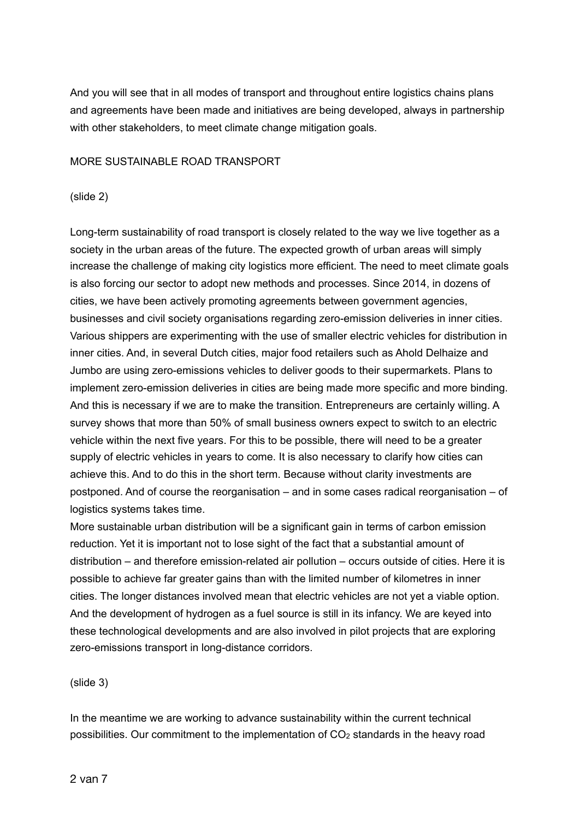And you will see that in all modes of transport and throughout entire logistics chains plans and agreements have been made and initiatives are being developed, always in partnership with other stakeholders, to meet climate change mitigation goals.

#### MORE SUSTAINABLE ROAD TRANSPORT

#### (slide 2)

Long-term sustainability of road transport is closely related to the way we live together as a society in the urban areas of the future. The expected growth of urban areas will simply increase the challenge of making city logistics more efficient. The need to meet climate goals is also forcing our sector to adopt new methods and processes. Since 2014, in dozens of cities, we have been actively promoting agreements between government agencies, businesses and civil society organisations regarding zero-emission deliveries in inner cities. Various shippers are experimenting with the use of smaller electric vehicles for distribution in inner cities. And, in several Dutch cities, major food retailers such as Ahold Delhaize and Jumbo are using zero-emissions vehicles to deliver goods to their supermarkets. Plans to implement zero-emission deliveries in cities are being made more specific and more binding. And this is necessary if we are to make the transition. Entrepreneurs are certainly willing. A survey shows that more than 50% of small business owners expect to switch to an electric vehicle within the next five years. For this to be possible, there will need to be a greater supply of electric vehicles in years to come. It is also necessary to clarify how cities can achieve this. And to do this in the short term. Because without clarity investments are postponed. And of course the reorganisation – and in some cases radical reorganisation – of logistics systems takes time.

More sustainable urban distribution will be a significant gain in terms of carbon emission reduction. Yet it is important not to lose sight of the fact that a substantial amount of distribution – and therefore emission-related air pollution – occurs outside of cities. Here it is possible to achieve far greater gains than with the limited number of kilometres in inner cities. The longer distances involved mean that electric vehicles are not yet a viable option. And the development of hydrogen as a fuel source is still in its infancy. We are keyed into these technological developments and are also involved in pilot projects that are exploring zero-emissions transport in long-distance corridors.

(slide 3)

In the meantime we are working to advance sustainability within the current technical possibilities. Our commitment to the implementation of  $CO<sub>2</sub>$  standards in the heavy road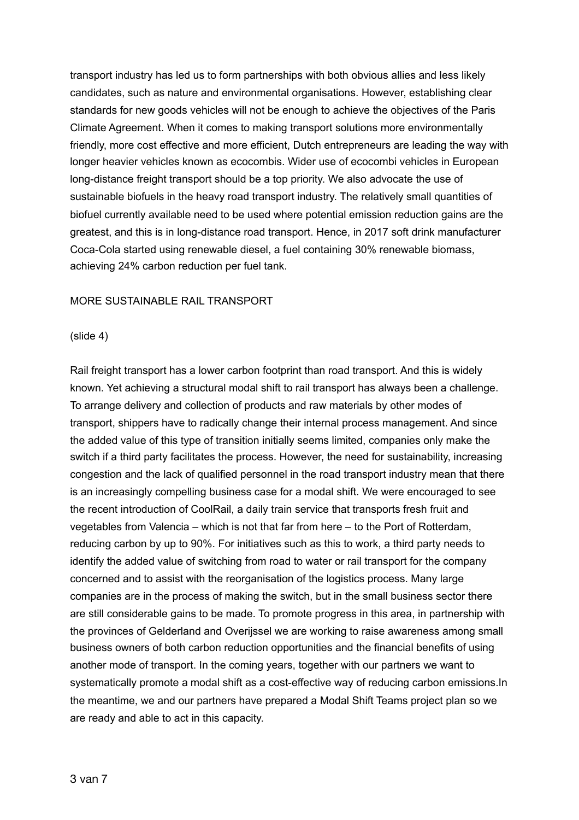transport industry has led us to form partnerships with both obvious allies and less likely candidates, such as nature and environmental organisations. However, establishing clear standards for new goods vehicles will not be enough to achieve the objectives of the Paris Climate Agreement. When it comes to making transport solutions more environmentally friendly, more cost effective and more efficient, Dutch entrepreneurs are leading the way with longer heavier vehicles known as ecocombis. Wider use of ecocombi vehicles in European long-distance freight transport should be a top priority. We also advocate the use of sustainable biofuels in the heavy road transport industry. The relatively small quantities of biofuel currently available need to be used where potential emission reduction gains are the greatest, and this is in long-distance road transport. Hence, in 2017 soft drink manufacturer Coca-Cola started using renewable diesel, a fuel containing 30% renewable biomass, achieving 24% carbon reduction per fuel tank.

#### MORE SUSTAINABLE RAIL TRANSPORT

#### (slide 4)

Rail freight transport has a lower carbon footprint than road transport. And this is widely known. Yet achieving a structural modal shift to rail transport has always been a challenge. To arrange delivery and collection of products and raw materials by other modes of transport, shippers have to radically change their internal process management. And since the added value of this type of transition initially seems limited, companies only make the switch if a third party facilitates the process. However, the need for sustainability, increasing congestion and the lack of qualified personnel in the road transport industry mean that there is an increasingly compelling business case for a modal shift. We were encouraged to see the recent introduction of CoolRail, a daily train service that transports fresh fruit and vegetables from Valencia – which is not that far from here – to the Port of Rotterdam, reducing carbon by up to 90%. For initiatives such as this to work, a third party needs to identify the added value of switching from road to water or rail transport for the company concerned and to assist with the reorganisation of the logistics process. Many large companies are in the process of making the switch, but in the small business sector there are still considerable gains to be made. To promote progress in this area, in partnership with the provinces of Gelderland and Overijssel we are working to raise awareness among small business owners of both carbon reduction opportunities and the financial benefits of using another mode of transport. In the coming years, together with our partners we want to systematically promote a modal shift as a cost-effective way of reducing carbon emissions.In the meantime, we and our partners have prepared a Modal Shift Teams project plan so we are ready and able to act in this capacity.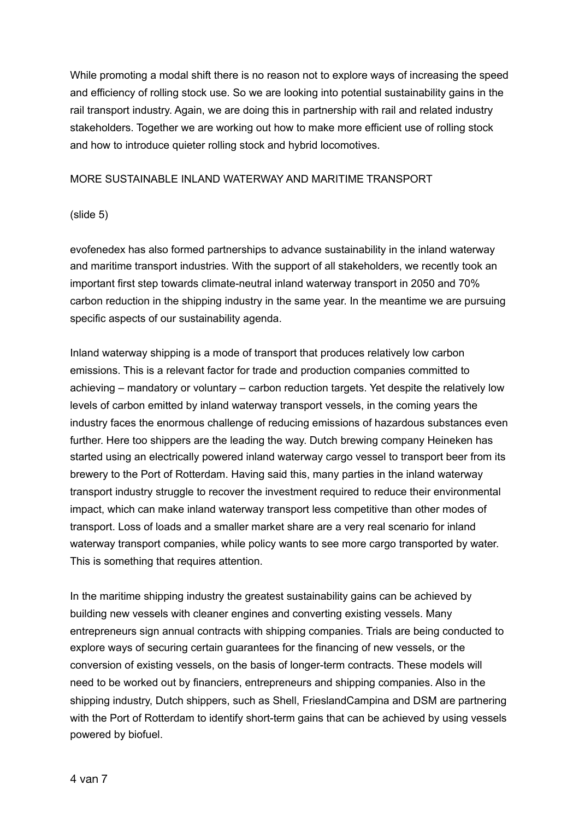While promoting a modal shift there is no reason not to explore ways of increasing the speed and efficiency of rolling stock use. So we are looking into potential sustainability gains in the rail transport industry. Again, we are doing this in partnership with rail and related industry stakeholders. Together we are working out how to make more efficient use of rolling stock and how to introduce quieter rolling stock and hybrid locomotives.

### MORE SUSTAINABLE INLAND WATERWAY AND MARITIME TRANSPORT

### (slide 5)

evofenedex has also formed partnerships to advance sustainability in the inland waterway and maritime transport industries. With the support of all stakeholders, we recently took an important first step towards climate-neutral inland waterway transport in 2050 and 70% carbon reduction in the shipping industry in the same year. In the meantime we are pursuing specific aspects of our sustainability agenda.

Inland waterway shipping is a mode of transport that produces relatively low carbon emissions. This is a relevant factor for trade and production companies committed to achieving – mandatory or voluntary – carbon reduction targets. Yet despite the relatively low levels of carbon emitted by inland waterway transport vessels, in the coming years the industry faces the enormous challenge of reducing emissions of hazardous substances even further. Here too shippers are the leading the way. Dutch brewing company Heineken has started using an electrically powered inland waterway cargo vessel to transport beer from its brewery to the Port of Rotterdam. Having said this, many parties in the inland waterway transport industry struggle to recover the investment required to reduce their environmental impact, which can make inland waterway transport less competitive than other modes of transport. Loss of loads and a smaller market share are a very real scenario for inland waterway transport companies, while policy wants to see more cargo transported by water. This is something that requires attention.

In the maritime shipping industry the greatest sustainability gains can be achieved by building new vessels with cleaner engines and converting existing vessels. Many entrepreneurs sign annual contracts with shipping companies. Trials are being conducted to explore ways of securing certain guarantees for the financing of new vessels, or the conversion of existing vessels, on the basis of longer-term contracts. These models will need to be worked out by financiers, entrepreneurs and shipping companies. Also in the shipping industry, Dutch shippers, such as Shell, FrieslandCampina and DSM are partnering with the Port of Rotterdam to identify short-term gains that can be achieved by using vessels powered by biofuel.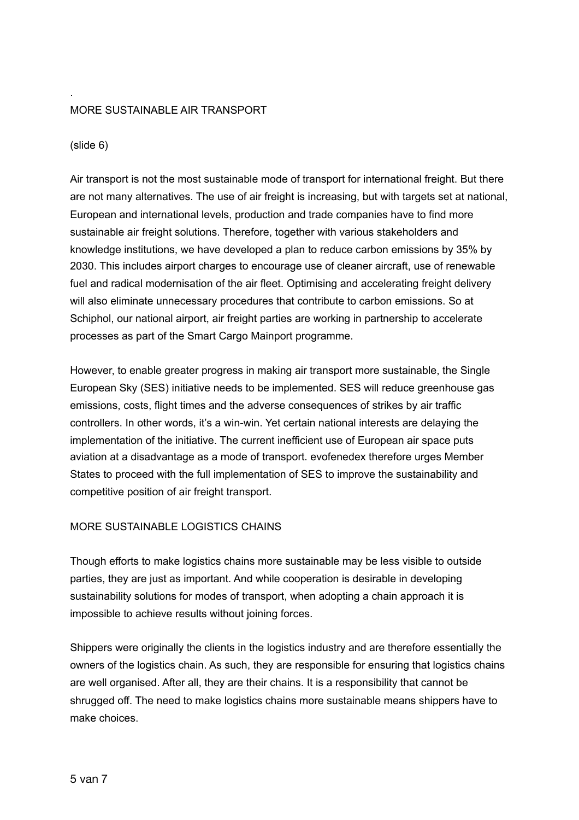### MORE SUSTAINABLE AIR TRANSPORT

(slide 6)

.

Air transport is not the most sustainable mode of transport for international freight. But there are not many alternatives. The use of air freight is increasing, but with targets set at national, European and international levels, production and trade companies have to find more sustainable air freight solutions. Therefore, together with various stakeholders and knowledge institutions, we have developed a plan to reduce carbon emissions by 35% by 2030. This includes airport charges to encourage use of cleaner aircraft, use of renewable fuel and radical modernisation of the air fleet. Optimising and accelerating freight delivery will also eliminate unnecessary procedures that contribute to carbon emissions. So at Schiphol, our national airport, air freight parties are working in partnership to accelerate processes as part of the Smart Cargo Mainport programme.

However, to enable greater progress in making air transport more sustainable, the Single European Sky (SES) initiative needs to be implemented. SES will reduce greenhouse gas emissions, costs, flight times and the adverse consequences of strikes by air traffic controllers. In other words, it's a win-win. Yet certain national interests are delaying the implementation of the initiative. The current inefficient use of European air space puts aviation at a disadvantage as a mode of transport. evofenedex therefore urges Member States to proceed with the full implementation of SES to improve the sustainability and competitive position of air freight transport.

### MORE SUSTAINABLE LOGISTICS CHAINS

Though efforts to make logistics chains more sustainable may be less visible to outside parties, they are just as important. And while cooperation is desirable in developing sustainability solutions for modes of transport, when adopting a chain approach it is impossible to achieve results without joining forces.

Shippers were originally the clients in the logistics industry and are therefore essentially the owners of the logistics chain. As such, they are responsible for ensuring that logistics chains are well organised. After all, they are their chains. It is a responsibility that cannot be shrugged off. The need to make logistics chains more sustainable means shippers have to make choices.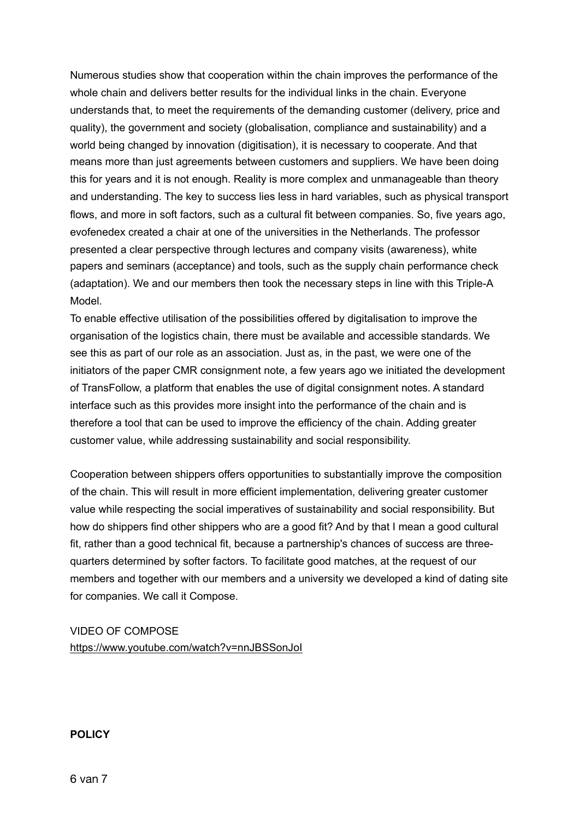Numerous studies show that cooperation within the chain improves the performance of the whole chain and delivers better results for the individual links in the chain. Everyone understands that, to meet the requirements of the demanding customer (delivery, price and quality), the government and society (globalisation, compliance and sustainability) and a world being changed by innovation (digitisation), it is necessary to cooperate. And that means more than just agreements between customers and suppliers. We have been doing this for years and it is not enough. Reality is more complex and unmanageable than theory and understanding. The key to success lies less in hard variables, such as physical transport flows, and more in soft factors, such as a cultural fit between companies. So, five years ago, evofenedex created a chair at one of the universities in the Netherlands. The professor presented a clear perspective through lectures and company visits (awareness), white papers and seminars (acceptance) and tools, such as the supply chain performance check (adaptation). We and our members then took the necessary steps in line with this Triple-A Model.

To enable effective utilisation of the possibilities offered by digitalisation to improve the organisation of the logistics chain, there must be available and accessible standards. We see this as part of our role as an association. Just as, in the past, we were one of the initiators of the paper CMR consignment note, a few years ago we initiated the development of TransFollow, a platform that enables the use of digital consignment notes. A standard interface such as this provides more insight into the performance of the chain and is therefore a tool that can be used to improve the efficiency of the chain. Adding greater customer value, while addressing sustainability and social responsibility.

Cooperation between shippers offers opportunities to substantially improve the composition of the chain. This will result in more efficient implementation, delivering greater customer value while respecting the social imperatives of sustainability and social responsibility. But how do shippers find other shippers who are a good fit? And by that I mean a good cultural fit, rather than a good technical fit, because a partnership's chances of success are threequarters determined by softer factors. To facilitate good matches, at the request of our members and together with our members and a university we developed a kind of dating site for companies. We call it Compose.

VIDEO OF COMPOSE <https://www.youtube.com/watch?v=nnJBSSonJoI>

**POLICY**